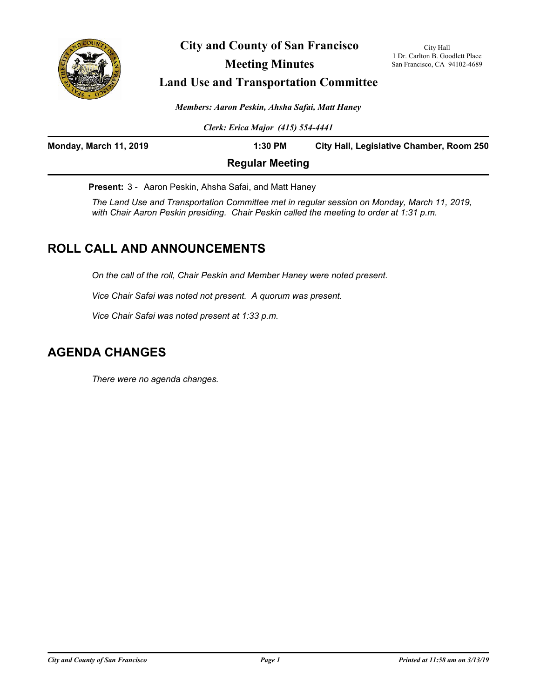

**City and County of San Francisco Meeting Minutes**

City Hall 1 Dr. Carlton B. Goodlett Place San Francisco, CA 94102-4689

# **Land Use and Transportation Committee**

*Members: Aaron Peskin, Ahsha Safai, Matt Haney*

*Clerk: Erica Major (415) 554-4441*

| <b>Monday, March 11, 2019</b> | $1:30$ PM              | City Hall, Legislative Chamber, Room 250 |
|-------------------------------|------------------------|------------------------------------------|
|                               | <b>Regular Meeting</b> |                                          |

**Present:** 3 - Aaron Peskin, Ahsha Safai, and Matt Haney

*The Land Use and Transportation Committee met in regular session on Monday, March 11, 2019, with Chair Aaron Peskin presiding. Chair Peskin called the meeting to order at 1:31 p.m.*

# **ROLL CALL AND ANNOUNCEMENTS**

*On the call of the roll, Chair Peskin and Member Haney were noted present.* 

*Vice Chair Safai was noted not present. A quorum was present.*

*Vice Chair Safai was noted present at 1:33 p.m.*

# **AGENDA CHANGES**

*There were no agenda changes.*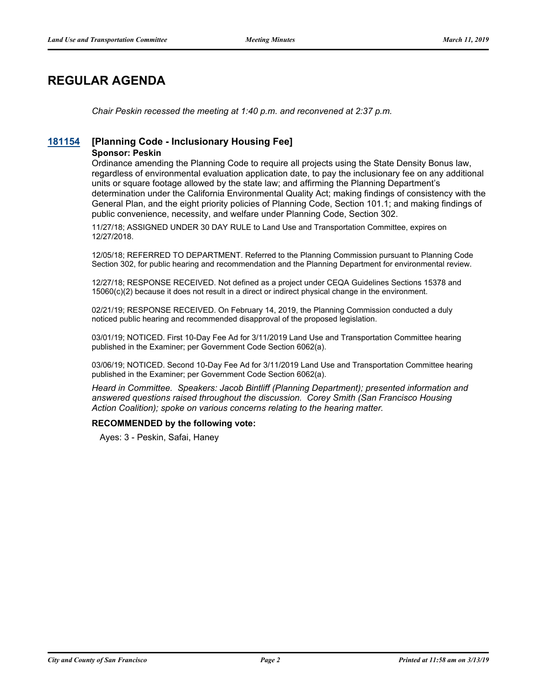# **REGULAR AGENDA**

*Chair Peskin recessed the meeting at 1:40 p.m. and reconvened at 2:37 p.m.*

## **[181154](http://sfgov.legistar.com/gateway.aspx?m=l&id=34023) [Planning Code - Inclusionary Housing Fee]**

### **Sponsor: Peskin**

Ordinance amending the Planning Code to require all projects using the State Density Bonus law, regardless of environmental evaluation application date, to pay the inclusionary fee on any additional units or square footage allowed by the state law; and affirming the Planning Department's determination under the California Environmental Quality Act; making findings of consistency with the General Plan, and the eight priority policies of Planning Code, Section 101.1; and making findings of public convenience, necessity, and welfare under Planning Code, Section 302.

11/27/18; ASSIGNED UNDER 30 DAY RULE to Land Use and Transportation Committee, expires on 12/27/2018.

12/05/18; REFERRED TO DEPARTMENT. Referred to the Planning Commission pursuant to Planning Code Section 302, for public hearing and recommendation and the Planning Department for environmental review.

12/27/18; RESPONSE RECEIVED. Not defined as a project under CEQA Guidelines Sections 15378 and 15060(c)(2) because it does not result in a direct or indirect physical change in the environment.

02/21/19; RESPONSE RECEIVED. On February 14, 2019, the Planning Commission conducted a duly noticed public hearing and recommended disapproval of the proposed legislation.

03/01/19; NOTICED. First 10-Day Fee Ad for 3/11/2019 Land Use and Transportation Committee hearing published in the Examiner; per Government Code Section 6062(a).

03/06/19; NOTICED. Second 10-Day Fee Ad for 3/11/2019 Land Use and Transportation Committee hearing published in the Examiner; per Government Code Section 6062(a).

*Heard in Committee. Speakers: Jacob Bintliff (Planning Department); presented information and answered questions raised throughout the discussion. Corey Smith (San Francisco Housing Action Coalition); spoke on various concerns relating to the hearing matter.*

## **RECOMMENDED by the following vote:**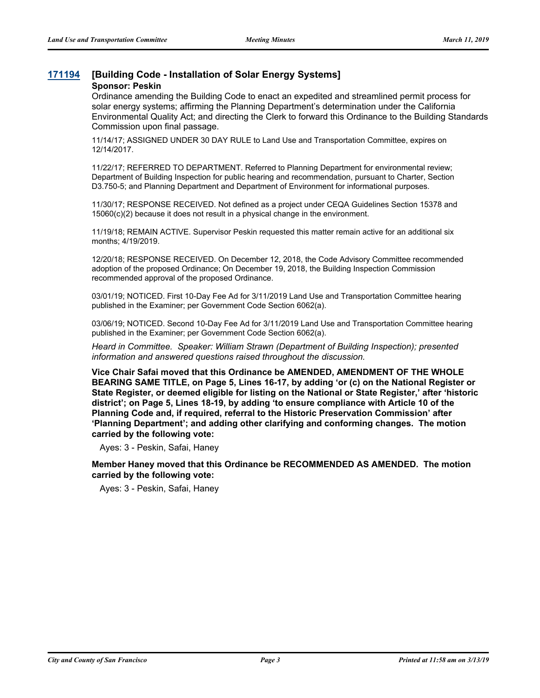## **[171194](http://sfgov.legistar.com/gateway.aspx?m=l&id=32736) [Building Code - Installation of Solar Energy Systems]**

### **Sponsor: Peskin**

Ordinance amending the Building Code to enact an expedited and streamlined permit process for solar energy systems; affirming the Planning Department's determination under the California Environmental Quality Act; and directing the Clerk to forward this Ordinance to the Building Standards Commission upon final passage.

11/14/17; ASSIGNED UNDER 30 DAY RULE to Land Use and Transportation Committee, expires on 12/14/2017.

11/22/17; REFERRED TO DEPARTMENT. Referred to Planning Department for environmental review; Department of Building Inspection for public hearing and recommendation, pursuant to Charter, Section D3.750-5; and Planning Department and Department of Environment for informational purposes.

11/30/17; RESPONSE RECEIVED. Not defined as a project under CEQA Guidelines Section 15378 and 15060(c)(2) because it does not result in a physical change in the environment.

11/19/18; REMAIN ACTIVE. Supervisor Peskin requested this matter remain active for an additional six months; 4/19/2019.

12/20/18; RESPONSE RECEIVED. On December 12, 2018, the Code Advisory Committee recommended adoption of the proposed Ordinance; On December 19, 2018, the Building Inspection Commission recommended approval of the proposed Ordinance.

03/01/19; NOTICED. First 10-Day Fee Ad for 3/11/2019 Land Use and Transportation Committee hearing published in the Examiner; per Government Code Section 6062(a).

03/06/19; NOTICED. Second 10-Day Fee Ad for 3/11/2019 Land Use and Transportation Committee hearing published in the Examiner; per Government Code Section 6062(a).

*Heard in Committee. Speaker: William Strawn (Department of Building Inspection); presented information and answered questions raised throughout the discussion.*

**Vice Chair Safai moved that this Ordinance be AMENDED, AMENDMENT OF THE WHOLE BEARING SAME TITLE, on Page 5, Lines 16-17, by adding 'or (c) on the National Register or State Register, or deemed eligible for listing on the National or State Register,' after 'historic district'; on Page 5, Lines 18-19, by adding 'to ensure compliance with Article 10 of the Planning Code and, if required, referral to the Historic Preservation Commission' after 'Planning Department'; and adding other clarifying and conforming changes. The motion carried by the following vote:**

Ayes: 3 - Peskin, Safai, Haney

**Member Haney moved that this Ordinance be RECOMMENDED AS AMENDED. The motion carried by the following vote:**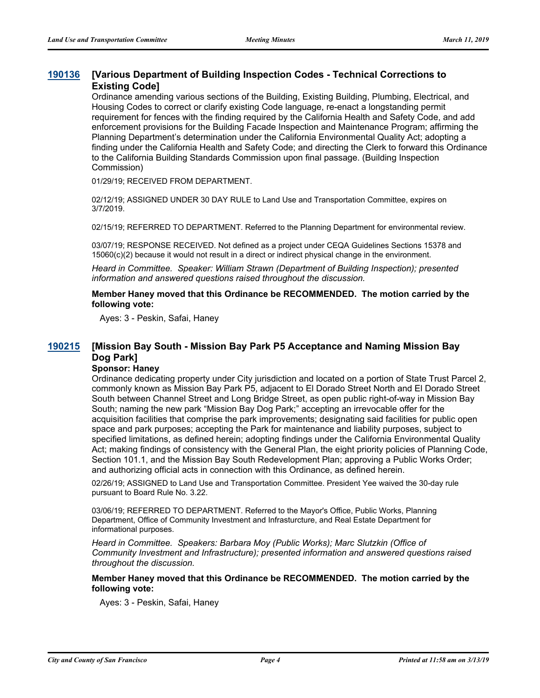#### **[Various Department of Building Inspection Codes - Technical Corrections to Existing Code] [190136](http://sfgov.legistar.com/gateway.aspx?m=l&id=34257)**

Ordinance amending various sections of the Building, Existing Building, Plumbing, Electrical, and Housing Codes to correct or clarify existing Code language, re-enact a longstanding permit requirement for fences with the finding required by the California Health and Safety Code, and add enforcement provisions for the Building Facade Inspection and Maintenance Program; affirming the Planning Department's determination under the California Environmental Quality Act; adopting a finding under the California Health and Safety Code; and directing the Clerk to forward this Ordinance to the California Building Standards Commission upon final passage. (Building Inspection Commission)

01/29/19; RECEIVED FROM DEPARTMENT.

02/12/19; ASSIGNED UNDER 30 DAY RULE to Land Use and Transportation Committee, expires on 3/7/2019.

02/15/19; REFERRED TO DEPARTMENT. Referred to the Planning Department for environmental review.

03/07/19; RESPONSE RECEIVED. Not defined as a project under CEQA Guidelines Sections 15378 and 15060(c)(2) because it would not result in a direct or indirect physical change in the environment.

*Heard in Committee. Speaker: William Strawn (Department of Building Inspection); presented information and answered questions raised throughout the discussion.*

**Member Haney moved that this Ordinance be RECOMMENDED. The motion carried by the following vote:**

Ayes: 3 - Peskin, Safai, Haney

#### **[Mission Bay South - Mission Bay Park P5 Acceptance and Naming Mission Bay Dog Park] [190215](http://sfgov.legistar.com/gateway.aspx?m=l&id=34336)**

## **Sponsor: Haney**

Ordinance dedicating property under City jurisdiction and located on a portion of State Trust Parcel 2, commonly known as Mission Bay Park P5, adjacent to El Dorado Street North and El Dorado Street South between Channel Street and Long Bridge Street, as open public right-of-way in Mission Bay South; naming the new park "Mission Bay Dog Park;" accepting an irrevocable offer for the acquisition facilities that comprise the park improvements; designating said facilities for public open space and park purposes; accepting the Park for maintenance and liability purposes, subject to specified limitations, as defined herein; adopting findings under the California Environmental Quality Act; making findings of consistency with the General Plan, the eight priority policies of Planning Code, Section 101.1, and the Mission Bay South Redevelopment Plan; approving a Public Works Order; and authorizing official acts in connection with this Ordinance, as defined herein.

02/26/19; ASSIGNED to Land Use and Transportation Committee. President Yee waived the 30-day rule pursuant to Board Rule No. 3.22.

03/06/19; REFERRED TO DEPARTMENT. Referred to the Mayor's Office, Public Works, Planning Department, Office of Community Investment and Infrasturcture, and Real Estate Department for informational purposes.

*Heard in Committee. Speakers: Barbara Moy (Public Works); Marc Slutzkin (Office of Community Investment and Infrastructure); presented information and answered questions raised throughout the discussion.*

**Member Haney moved that this Ordinance be RECOMMENDED. The motion carried by the following vote:**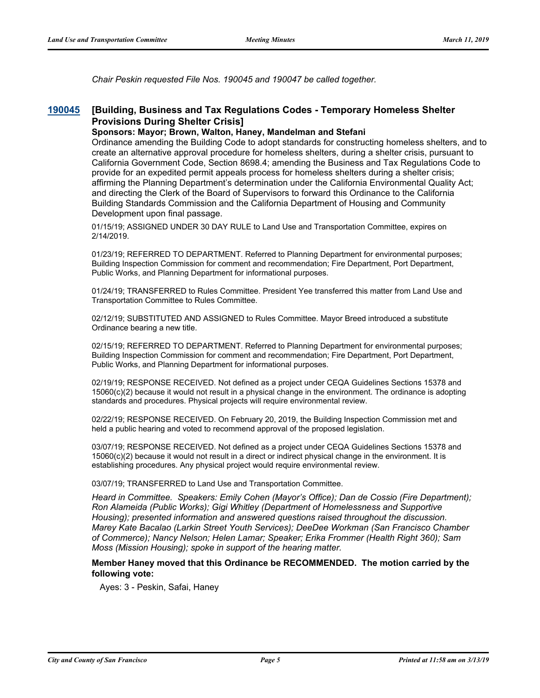*Chair Peskin requested File Nos. 190045 and 190047 be called together.*

#### **[Building, Business and Tax Regulations Codes - Temporary Homeless Shelter Provisions During Shelter Crisis] [190045](http://sfgov.legistar.com/gateway.aspx?m=l&id=34166)**

### **Sponsors: Mayor; Brown, Walton, Haney, Mandelman and Stefani**

Ordinance amending the Building Code to adopt standards for constructing homeless shelters, and to create an alternative approval procedure for homeless shelters, during a shelter crisis, pursuant to California Government Code, Section 8698.4; amending the Business and Tax Regulations Code to provide for an expedited permit appeals process for homeless shelters during a shelter crisis; affirming the Planning Department's determination under the California Environmental Quality Act; and directing the Clerk of the Board of Supervisors to forward this Ordinance to the California Building Standards Commission and the California Department of Housing and Community Development upon final passage.

01/15/19; ASSIGNED UNDER 30 DAY RULE to Land Use and Transportation Committee, expires on 2/14/2019.

01/23/19; REFERRED TO DEPARTMENT. Referred to Planning Department for environmental purposes; Building Inspection Commission for comment and recommendation; Fire Department, Port Department, Public Works, and Planning Department for informational purposes.

01/24/19; TRANSFERRED to Rules Committee. President Yee transferred this matter from Land Use and Transportation Committee to Rules Committee.

02/12/19; SUBSTITUTED AND ASSIGNED to Rules Committee. Mayor Breed introduced a substitute Ordinance bearing a new title.

02/15/19; REFERRED TO DEPARTMENT. Referred to Planning Department for environmental purposes; Building Inspection Commission for comment and recommendation; Fire Department, Port Department, Public Works, and Planning Department for informational purposes.

02/19/19; RESPONSE RECEIVED. Not defined as a project under CEQA Guidelines Sections 15378 and 15060(c)(2) because it would not result in a physical change in the environment. The ordinance is adopting standards and procedures. Physical projects will require environmental review.

02/22/19; RESPONSE RECEIVED. On February 20, 2019, the Building Inspection Commission met and held a public hearing and voted to recommend approval of the proposed legislation.

03/07/19; RESPONSE RECEIVED. Not defined as a project under CEQA Guidelines Sections 15378 and 15060(c)(2) because it would not result in a direct or indirect physical change in the environment. It is establishing procedures. Any physical project would require environmental review.

03/07/19; TRANSFERRED to Land Use and Transportation Committee.

*Heard in Committee. Speakers: Emily Cohen (Mayor's Office); Dan de Cossio (Fire Department); Ron Alameida (Public Works); Gigi Whitley (Department of Homelessness and Supportive Housing); presented information and answered questions raised throughout the discussion. Marey Kate Bacalao (Larkin Street Youth Services); DeeDee Workman (San Francisco Chamber of Commerce); Nancy Nelson; Helen Lamar; Speaker; Erika Frommer (Health Right 360); Sam Moss (Mission Housing); spoke in support of the hearing matter.*

### **Member Haney moved that this Ordinance be RECOMMENDED. The motion carried by the following vote:**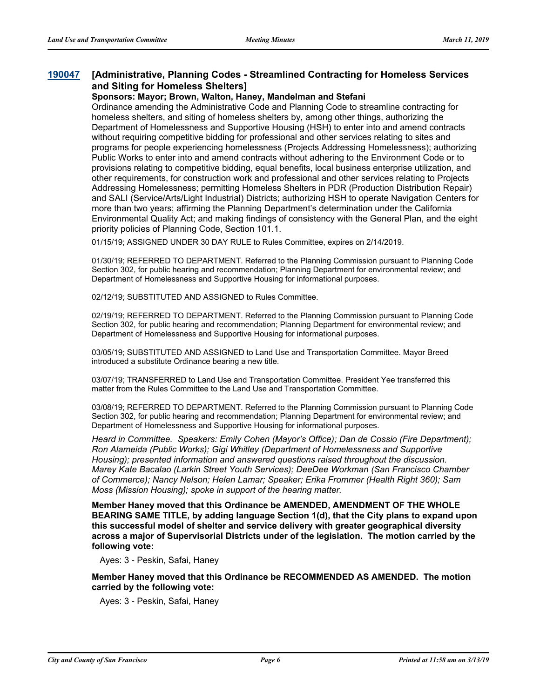#### **[Administrative, Planning Codes - Streamlined Contracting for Homeless Services and Siting for Homeless Shelters] [190047](http://sfgov.legistar.com/gateway.aspx?m=l&id=34168)**

## **Sponsors: Mayor; Brown, Walton, Haney, Mandelman and Stefani**

Ordinance amending the Administrative Code and Planning Code to streamline contracting for homeless shelters, and siting of homeless shelters by, among other things, authorizing the Department of Homelessness and Supportive Housing (HSH) to enter into and amend contracts without requiring competitive bidding for professional and other services relating to sites and programs for people experiencing homelessness (Projects Addressing Homelessness); authorizing Public Works to enter into and amend contracts without adhering to the Environment Code or to provisions relating to competitive bidding, equal benefits, local business enterprise utilization, and other requirements, for construction work and professional and other services relating to Projects Addressing Homelessness; permitting Homeless Shelters in PDR (Production Distribution Repair) and SALI (Service/Arts/Light Industrial) Districts; authorizing HSH to operate Navigation Centers for more than two years; affirming the Planning Department's determination under the California Environmental Quality Act; and making findings of consistency with the General Plan, and the eight priority policies of Planning Code, Section 101.1.

01/15/19; ASSIGNED UNDER 30 DAY RULE to Rules Committee, expires on 2/14/2019.

01/30/19; REFERRED TO DEPARTMENT. Referred to the Planning Commission pursuant to Planning Code Section 302, for public hearing and recommendation; Planning Department for environmental review; and Department of Homelessness and Supportive Housing for informational purposes.

02/12/19; SUBSTITUTED AND ASSIGNED to Rules Committee.

02/19/19; REFERRED TO DEPARTMENT. Referred to the Planning Commission pursuant to Planning Code Section 302, for public hearing and recommendation; Planning Department for environmental review; and Department of Homelessness and Supportive Housing for informational purposes.

03/05/19; SUBSTITUTED AND ASSIGNED to Land Use and Transportation Committee. Mayor Breed introduced a substitute Ordinance bearing a new title.

03/07/19; TRANSFERRED to Land Use and Transportation Committee. President Yee transferred this matter from the Rules Committee to the Land Use and Transportation Committee.

03/08/19; REFERRED TO DEPARTMENT. Referred to the Planning Commission pursuant to Planning Code Section 302, for public hearing and recommendation; Planning Department for environmental review; and Department of Homelessness and Supportive Housing for informational purposes.

*Heard in Committee. Speakers: Emily Cohen (Mayor's Office); Dan de Cossio (Fire Department); Ron Alameida (Public Works); Gigi Whitley (Department of Homelessness and Supportive Housing); presented information and answered questions raised throughout the discussion. Marey Kate Bacalao (Larkin Street Youth Services); DeeDee Workman (San Francisco Chamber of Commerce); Nancy Nelson; Helen Lamar; Speaker; Erika Frommer (Health Right 360); Sam Moss (Mission Housing); spoke in support of the hearing matter.*

**Member Haney moved that this Ordinance be AMENDED, AMENDMENT OF THE WHOLE BEARING SAME TITLE, by adding language Section 1(d), that the City plans to expand upon this successful model of shelter and service delivery with greater geographical diversity across a major of Supervisorial Districts under of the legislation. The motion carried by the following vote:**

Ayes: 3 - Peskin, Safai, Haney

**Member Haney moved that this Ordinance be RECOMMENDED AS AMENDED. The motion carried by the following vote:**